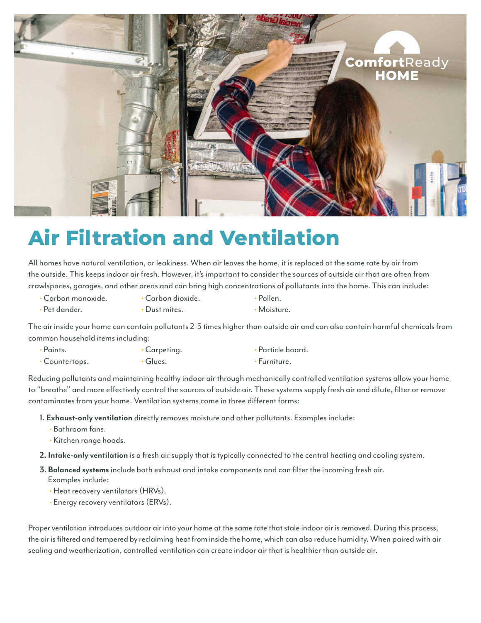

## **Air Filtration and Ventilation**

All homes have natural ventilation, or leakiness. When air leaves the home, it is replaced at the same rate by air from the outside. This keeps indoor air fresh. However, it's important to consider the sources of outside air that are often from crawlspaces, garages, and other areas and can bring high concentrations of pollutants into the home. This can include:

- Carbon monoxide. Carbon dioxide. • Pollen.
	-
- 
- Pet dander. • Dust mites. • • Moisture.

The air inside your home can contain pollutants 2-5 times higher than outside air and can also contain harmful chemicals from common household items including:

- Paints. Carpeting. Particle board.
- Countertops. • Glues. Furniture.
- 

Reducing pollutants and maintaining healthy indoor air through mechanically controlled ventilation systems allow your home to "breathe" and more effectively control the sources of outside air. These systems supply fresh air and dilute, filter or remove contaminates from your home. Ventilation systems come in three different forms:

- **1. Exhaust-only ventilation** directly removes moisture and other pollutants. Examples include:
	- Bathroom fans.
	- Kitchen range hoods.
- **2. Intake-only ventilation** is a fresh air supply that is typically connected to the central heating and cooling system.
- **3. Balanced systems** include both exhaust and intake components and can filter the incoming fresh air. Examples include:
	- Heat recovery ventilators (HRVs).
	- Energy recovery ventilators (ERVs).

Proper ventilation introduces outdoor air into your home at the same rate that stale indoor air is removed. During this process, the air is filtered and tempered by reclaiming heat from inside the home, which can also reduce humidity. When paired with air sealing and weatherization, controlled ventilation can create indoor air that is healthier than outside air.